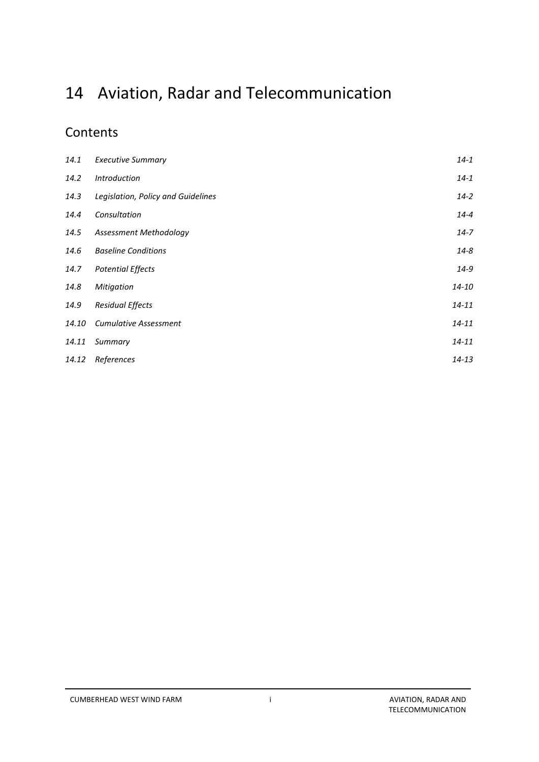# 14 Aviation, Radar and Telecommunication

# **Contents**

| 14.1  | <b>Executive Summary</b>           | $14 - 1$  |
|-------|------------------------------------|-----------|
| 14.2  | <b>Introduction</b>                | $14 - 1$  |
| 14.3  | Legislation, Policy and Guidelines | $14 - 2$  |
| 14.4  | Consultation                       | $14 - 4$  |
| 14.5  | Assessment Methodology             | $14 - 7$  |
| 14.6  | <b>Baseline Conditions</b>         | $14 - 8$  |
| 14.7  | <b>Potential Effects</b>           | $14 - 9$  |
| 14.8  | Mitigation                         | $14 - 10$ |
| 14.9  | <b>Residual Effects</b>            | $14 - 11$ |
| 14.10 | <b>Cumulative Assessment</b>       | $14 - 11$ |
| 14.11 | Summary                            | $14 - 11$ |
| 14.12 | References                         | 14-13     |
|       |                                    |           |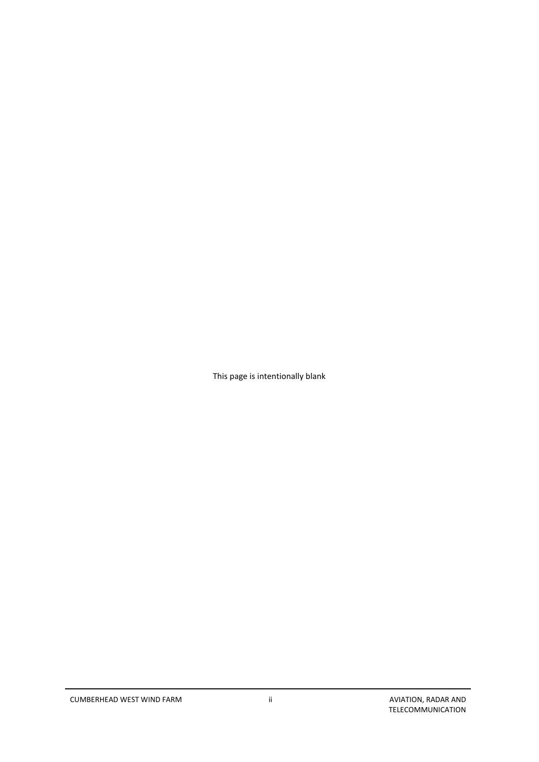This page is intentionally blank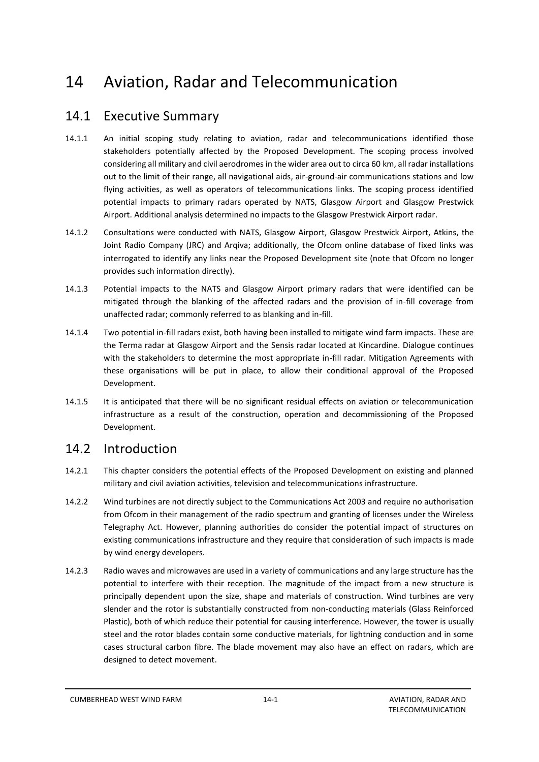# 14 Aviation, Radar and Telecommunication

### <span id="page-2-0"></span>14.1 Executive Summary

- 14.1.1 An initial scoping study relating to aviation, radar and telecommunications identified those stakeholders potentially affected by the Proposed Development. The scoping process involved considering all military and civil aerodromes in the wider area out to circa 60 km, all radar installations out to the limit of their range, all navigational aids, air-ground-air communications stations and low flying activities, as well as operators of telecommunications links. The scoping process identified potential impacts to primary radars operated by NATS, Glasgow Airport and Glasgow Prestwick Airport. Additional analysis determined no impacts to the Glasgow Prestwick Airport radar.
- 14.1.2 Consultations were conducted with NATS, Glasgow Airport, Glasgow Prestwick Airport, Atkins, the Joint Radio Company (JRC) and Arqiva; additionally, the Ofcom online database of fixed links was interrogated to identify any links near the Proposed Development site (note that Ofcom no longer provides such information directly).
- 14.1.3 Potential impacts to the NATS and Glasgow Airport primary radars that were identified can be mitigated through the blanking of the affected radars and the provision of in-fill coverage from unaffected radar; commonly referred to as blanking and in-fill.
- 14.1.4 Two potential in-fill radars exist, both having been installed to mitigate wind farm impacts. These are the Terma radar at Glasgow Airport and the Sensis radar located at Kincardine. Dialogue continues with the stakeholders to determine the most appropriate in-fill radar. Mitigation Agreements with these organisations will be put in place, to allow their conditional approval of the Proposed Development.
- 14.1.5 It is anticipated that there will be no significant residual effects on aviation or telecommunication infrastructure as a result of the construction, operation and decommissioning of the Proposed Development.

# <span id="page-2-1"></span>14.2 Introduction

- 14.2.1 This chapter considers the potential effects of the Proposed Development on existing and planned military and civil aviation activities, television and telecommunications infrastructure.
- 14.2.2 Wind turbines are not directly subject to the Communications Act 2003 and require no authorisation from Ofcom in their management of the radio spectrum and granting of licenses under the Wireless Telegraphy Act. However, planning authorities do consider the potential impact of structures on existing communications infrastructure and they require that consideration of such impacts is made by wind energy developers.
- 14.2.3 Radio waves and microwaves are used in a variety of communications and any large structure has the potential to interfere with their reception. The magnitude of the impact from a new structure is principally dependent upon the size, shape and materials of construction. Wind turbines are very slender and the rotor is substantially constructed from non-conducting materials (Glass Reinforced Plastic), both of which reduce their potential for causing interference. However, the tower is usually steel and the rotor blades contain some conductive materials, for lightning conduction and in some cases structural carbon fibre. The blade movement may also have an effect on radars, which are designed to detect movement.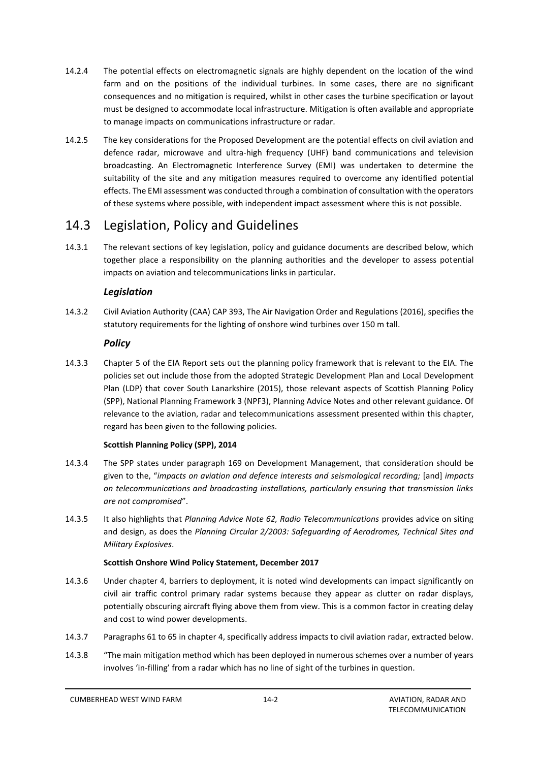- 14.2.4 The potential effects on electromagnetic signals are highly dependent on the location of the wind farm and on the positions of the individual turbines. In some cases, there are no significant consequences and no mitigation is required, whilst in other cases the turbine specification or layout must be designed to accommodate local infrastructure. Mitigation is often available and appropriate to manage impacts on communications infrastructure or radar.
- 14.2.5 The key considerations for the Proposed Development are the potential effects on civil aviation and defence radar, microwave and ultra-high frequency (UHF) band communications and television broadcasting. An Electromagnetic Interference Survey (EMI) was undertaken to determine the suitability of the site and any mitigation measures required to overcome any identified potential effects. The EMI assessment was conducted through a combination of consultation with the operators of these systems where possible, with independent impact assessment where this is not possible.

# <span id="page-3-0"></span>14.3 Legislation, Policy and Guidelines

14.3.1 The relevant sections of key legislation, policy and guidance documents are described below, which together place a responsibility on the planning authorities and the developer to assess potential impacts on aviation and telecommunications links in particular.

### *Legislation*

14.3.2 Civil Aviation Authority (CAA) CAP 393, The Air Navigation Order and Regulations (2016), specifies the statutory requirements for the lighting of onshore wind turbines over 150 m tall.

### *Policy*

14.3.3 Chapter 5 of the EIA Report sets out the planning policy framework that is relevant to the EIA. The policies set out include those from the adopted Strategic Development Plan and Local Development Plan (LDP) that cover South Lanarkshire (2015), those relevant aspects of Scottish Planning Policy (SPP), National Planning Framework 3 (NPF3), Planning Advice Notes and other relevant guidance. Of relevance to the aviation, radar and telecommunications assessment presented within this chapter, regard has been given to the following policies.

### **Scottish Planning Policy (SPP), 2014**

- 14.3.4 The SPP states under paragraph 169 on Development Management, that consideration should be given to the, "*impacts on aviation and defence interests and seismological recording;* [and] *impacts on telecommunications and broadcasting installations, particularly ensuring that transmission links are not compromised*".
- 14.3.5 It also highlights that *Planning Advice Note 62, Radio Telecommunications* provides advice on siting and design, as does the *Planning Circular 2/2003: Safeguarding of Aerodromes, Technical Sites and Military Explosives*.

### **Scottish Onshore Wind Policy Statement, December 2017**

- 14.3.6 Under chapter 4, barriers to deployment, it is noted wind developments can impact significantly on civil air traffic control primary radar systems because they appear as clutter on radar displays, potentially obscuring aircraft flying above them from view. This is a common factor in creating delay and cost to wind power developments.
- 14.3.7 Paragraphs 61 to 65 in chapter 4, specifically address impacts to civil aviation radar, extracted below.
- 14.3.8 "The main mitigation method which has been deployed in numerous schemes over a number of years involves 'in-filling' from a radar which has no line of sight of the turbines in question.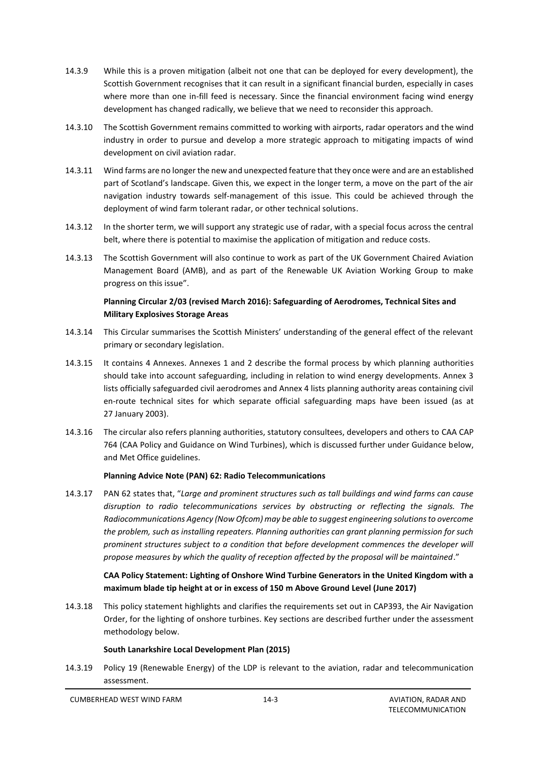- 14.3.9 While this is a proven mitigation (albeit not one that can be deployed for every development), the Scottish Government recognises that it can result in a significant financial burden, especially in cases where more than one in-fill feed is necessary. Since the financial environment facing wind energy development has changed radically, we believe that we need to reconsider this approach.
- 14.3.10 The Scottish Government remains committed to working with airports, radar operators and the wind industry in order to pursue and develop a more strategic approach to mitigating impacts of wind development on civil aviation radar.
- 14.3.11 Wind farms are no longer the new and unexpected feature that they once were and are an established part of Scotland's landscape. Given this, we expect in the longer term, a move on the part of the air navigation industry towards self-management of this issue. This could be achieved through the deployment of wind farm tolerant radar, or other technical solutions.
- 14.3.12 In the shorter term, we will support any strategic use of radar, with a special focus across the central belt, where there is potential to maximise the application of mitigation and reduce costs.
- 14.3.13 The Scottish Government will also continue to work as part of the UK Government Chaired Aviation Management Board (AMB), and as part of the Renewable UK Aviation Working Group to make progress on this issue".

### **Planning Circular 2/03 (revised March 2016): Safeguarding of Aerodromes, Technical Sites and Military Explosives Storage Areas**

- 14.3.14 This Circular summarises the Scottish Ministers' understanding of the general effect of the relevant primary or secondary legislation.
- 14.3.15 It contains 4 Annexes. Annexes 1 and 2 describe the formal process by which planning authorities should take into account safeguarding, including in relation to wind energy developments. Annex 3 lists officially safeguarded civil aerodromes and Annex 4 lists planning authority areas containing civil en-route technical sites for which separate official safeguarding maps have been issued (as at 27 January 2003).
- 14.3.16 The circular also refers planning authorities, statutory consultees, developers and others to CAA CAP 764 (CAA Policy and Guidance on Wind Turbines), which is discussed further under Guidance below, and Met Office guidelines.

#### **Planning Advice Note (PAN) 62: Radio Telecommunications**

14.3.17 PAN 62 states that, "*Large and prominent structures such as tall buildings and wind farms can cause disruption to radio telecommunications services by obstructing or reflecting the signals. The Radiocommunications Agency (Now Ofcom) may be able to suggest engineering solutions to overcome the problem, such as installing repeaters. Planning authorities can grant planning permission for such prominent structures subject to a condition that before development commences the developer will propose measures by which the quality of reception affected by the proposal will be maintained*."

**CAA Policy Statement: Lighting of Onshore Wind Turbine Generators in the United Kingdom with a maximum blade tip height at or in excess of 150 m Above Ground Level (June 2017)**

14.3.18 This policy statement highlights and clarifies the requirements set out in CAP393, the Air Navigation Order, for the lighting of onshore turbines. Key sections are described further under the assessment methodology below.

#### **South Lanarkshire Local Development Plan (2015)**

14.3.19 Policy 19 (Renewable Energy) of the LDP is relevant to the aviation, radar and telecommunication assessment.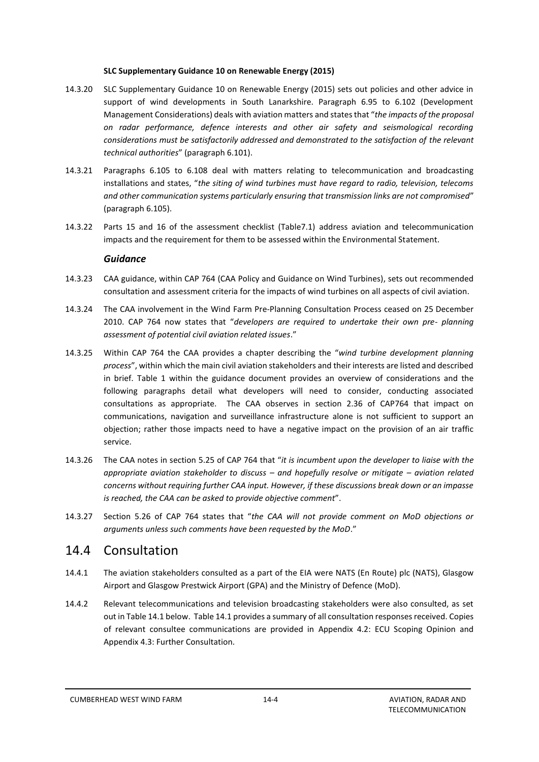#### **SLC Supplementary Guidance 10 on Renewable Energy (2015)**

- 14.3.20 SLC Supplementary Guidance 10 on Renewable Energy (2015) sets out policies and other advice in support of wind developments in South Lanarkshire. Paragraph 6.95 to 6.102 (Development Management Considerations) deals with aviation matters and states that "*the impacts of the proposal on radar performance, defence interests and other air safety and seismological recording considerations must be satisfactorily addressed and demonstrated to the satisfaction of the relevant technical authorities*" (paragraph 6.101).
- 14.3.21 Paragraphs 6.105 to 6.108 deal with matters relating to telecommunication and broadcasting installations and states, "*the siting of wind turbines must have regard to radio, television, telecoms and other communication systems particularly ensuring that transmission links are not compromised*" (paragraph 6.105).
- 14.3.22 Parts 15 and 16 of the assessment checklist (Table7.1) address aviation and telecommunication impacts and the requirement for them to be assessed within the Environmental Statement.

### *Guidance*

- 14.3.23 CAA guidance, within CAP 764 (CAA Policy and Guidance on Wind Turbines), sets out recommended consultation and assessment criteria for the impacts of wind turbines on all aspects of civil aviation.
- 14.3.24 The CAA involvement in the Wind Farm Pre-Planning Consultation Process ceased on 25 December 2010. CAP 764 now states that "*developers are required to undertake their own pre- planning assessment of potential civil aviation related issues*."
- 14.3.25 Within CAP 764 the CAA provides a chapter describing the "*wind turbine development planning process*", within which the main civil aviation stakeholders and their interests are listed and described in brief. Table 1 within the guidance document provides an overview of considerations and the following paragraphs detail what developers will need to consider, conducting associated consultations as appropriate. The CAA observes in section 2.36 of CAP764 that impact on communications, navigation and surveillance infrastructure alone is not sufficient to support an objection; rather those impacts need to have a negative impact on the provision of an air traffic service.
- 14.3.26 The CAA notes in section 5.25 of CAP 764 that "*it is incumbent upon the developer to liaise with the appropriate aviation stakeholder to discuss – and hopefully resolve or mitigate – aviation related concerns without requiring further CAA input. However, if these discussions break down or an impasse is reached, the CAA can be asked to provide objective comment*".
- 14.3.27 Section 5.26 of CAP 764 states that "*the CAA will not provide comment on MoD objections or arguments unless such comments have been requested by the MoD*."

### <span id="page-5-0"></span>14.4 Consultation

- 14.4.1 The aviation stakeholders consulted as a part of the EIA were NATS (En Route) plc (NATS), Glasgow Airport and Glasgow Prestwick Airport (GPA) and the Ministry of Defence (MoD).
- 14.4.2 Relevant telecommunications and television broadcasting stakeholders were also consulted, as set out in Table 14.1 below. Table 14.1 provides a summary of all consultation responses received. Copies of relevant consultee communications are provided in Appendix 4.2: ECU Scoping Opinion and Appendix 4.3: Further Consultation.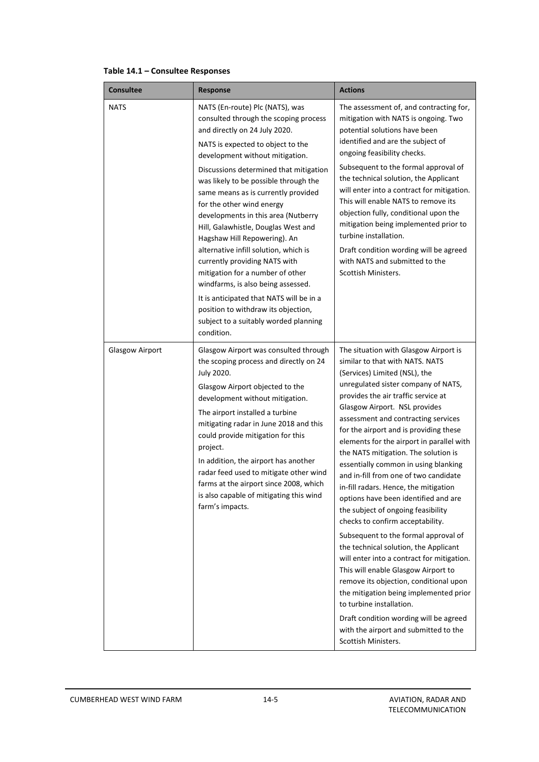### **Table 14.1 – Consultee Responses**

| <b>Consultee</b>       | <b>Response</b>                                                                                                                                                                                                                                                                                                                                                                                                                                                                                                                                                                                                                                                                                                                                      | <b>Actions</b>                                                                                                                                                                                                                                                                                                                                                                                                                                                                                                                                                                                                                                                                                                                                                                                                                                                                                                                                                                                                                             |
|------------------------|------------------------------------------------------------------------------------------------------------------------------------------------------------------------------------------------------------------------------------------------------------------------------------------------------------------------------------------------------------------------------------------------------------------------------------------------------------------------------------------------------------------------------------------------------------------------------------------------------------------------------------------------------------------------------------------------------------------------------------------------------|--------------------------------------------------------------------------------------------------------------------------------------------------------------------------------------------------------------------------------------------------------------------------------------------------------------------------------------------------------------------------------------------------------------------------------------------------------------------------------------------------------------------------------------------------------------------------------------------------------------------------------------------------------------------------------------------------------------------------------------------------------------------------------------------------------------------------------------------------------------------------------------------------------------------------------------------------------------------------------------------------------------------------------------------|
| <b>NATS</b>            | NATS (En-route) Plc (NATS), was<br>consulted through the scoping process<br>and directly on 24 July 2020.<br>NATS is expected to object to the<br>development without mitigation.<br>Discussions determined that mitigation<br>was likely to be possible through the<br>same means as is currently provided<br>for the other wind energy<br>developments in this area (Nutberry<br>Hill, Galawhistle, Douglas West and<br>Hagshaw Hill Repowering). An<br>alternative infill solution, which is<br>currently providing NATS with<br>mitigation for a number of other<br>windfarms, is also being assessed.<br>It is anticipated that NATS will be in a<br>position to withdraw its objection,<br>subject to a suitably worded planning<br>condition. | The assessment of, and contracting for,<br>mitigation with NATS is ongoing. Two<br>potential solutions have been<br>identified and are the subject of<br>ongoing feasibility checks.<br>Subsequent to the formal approval of<br>the technical solution, the Applicant<br>will enter into a contract for mitigation.<br>This will enable NATS to remove its<br>objection fully, conditional upon the<br>mitigation being implemented prior to<br>turbine installation.<br>Draft condition wording will be agreed<br>with NATS and submitted to the<br>Scottish Ministers.                                                                                                                                                                                                                                                                                                                                                                                                                                                                   |
| <b>Glasgow Airport</b> | Glasgow Airport was consulted through<br>the scoping process and directly on 24<br>July 2020.<br>Glasgow Airport objected to the<br>development without mitigation.<br>The airport installed a turbine<br>mitigating radar in June 2018 and this<br>could provide mitigation for this<br>project.<br>In addition, the airport has another<br>radar feed used to mitigate other wind<br>farms at the airport since 2008, which<br>is also capable of mitigating this wind<br>farm's impacts.                                                                                                                                                                                                                                                          | The situation with Glasgow Airport is<br>similar to that with NATS. NATS<br>(Services) Limited (NSL), the<br>unregulated sister company of NATS,<br>provides the air traffic service at<br>Glasgow Airport. NSL provides<br>assessment and contracting services<br>for the airport and is providing these<br>elements for the airport in parallel with<br>the NATS mitigation. The solution is<br>essentially common in using blanking<br>and in-fill from one of two candidate<br>in-fill radars. Hence, the mitigation<br>options have been identified and are<br>the subject of ongoing feasibility<br>checks to confirm acceptability.<br>Subsequent to the formal approval of<br>the technical solution, the Applicant<br>will enter into a contract for mitigation.<br>This will enable Glasgow Airport to<br>remove its objection, conditional upon<br>the mitigation being implemented prior<br>to turbine installation.<br>Draft condition wording will be agreed<br>with the airport and submitted to the<br>Scottish Ministers. |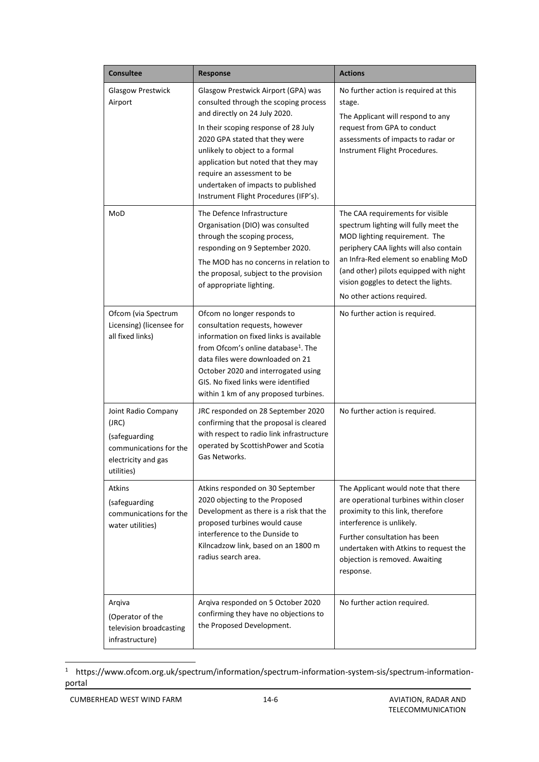| <b>Consultee</b>                                                                                             | <b>Response</b>                                                                                                                                                                                                                                                                                                                                                                | <b>Actions</b>                                                                                                                                                                                                                                                                                               |
|--------------------------------------------------------------------------------------------------------------|--------------------------------------------------------------------------------------------------------------------------------------------------------------------------------------------------------------------------------------------------------------------------------------------------------------------------------------------------------------------------------|--------------------------------------------------------------------------------------------------------------------------------------------------------------------------------------------------------------------------------------------------------------------------------------------------------------|
| <b>Glasgow Prestwick</b><br>Airport                                                                          | Glasgow Prestwick Airport (GPA) was<br>consulted through the scoping process<br>and directly on 24 July 2020.<br>In their scoping response of 28 July<br>2020 GPA stated that they were<br>unlikely to object to a formal<br>application but noted that they may<br>require an assessment to be<br>undertaken of impacts to published<br>Instrument Flight Procedures (IFP's). | No further action is required at this<br>stage.<br>The Applicant will respond to any<br>request from GPA to conduct<br>assessments of impacts to radar or<br>Instrument Flight Procedures.                                                                                                                   |
| MoD                                                                                                          | The Defence Infrastructure<br>Organisation (DIO) was consulted<br>through the scoping process,<br>responding on 9 September 2020.<br>The MOD has no concerns in relation to<br>the proposal, subject to the provision<br>of appropriate lighting.                                                                                                                              | The CAA requirements for visible<br>spectrum lighting will fully meet the<br>MOD lighting requirement. The<br>periphery CAA lights will also contain<br>an Infra-Red element so enabling MoD<br>(and other) pilots equipped with night<br>vision goggles to detect the lights.<br>No other actions required. |
| Ofcom (via Spectrum<br>Licensing) (licensee for<br>all fixed links)                                          | Ofcom no longer responds to<br>consultation requests, however<br>information on fixed links is available<br>from Ofcom's online database <sup>1</sup> . The<br>data files were downloaded on 21<br>October 2020 and interrogated using<br>GIS. No fixed links were identified<br>within 1 km of any proposed turbines.                                                         | No further action is required.                                                                                                                                                                                                                                                                               |
| Joint Radio Company<br>(JRC)<br>(safeguarding<br>communications for the<br>electricity and gas<br>utilities) | JRC responded on 28 September 2020<br>confirming that the proposal is cleared<br>with respect to radio link infrastructure<br>operated by ScottishPower and Scotia<br>Gas Networks.                                                                                                                                                                                            | No further action is required.                                                                                                                                                                                                                                                                               |
| Atkins<br>(safeguarding<br>communications for the<br>water utilities)                                        | Atkins responded on 30 September<br>2020 objecting to the Proposed<br>Development as there is a risk that the<br>proposed turbines would cause<br>interference to the Dunside to<br>Kilncadzow link, based on an 1800 m<br>radius search area.                                                                                                                                 | The Applicant would note that there<br>are operational turbines within closer<br>proximity to this link, therefore<br>interference is unlikely.<br>Further consultation has been<br>undertaken with Atkins to request the<br>objection is removed. Awaiting<br>response.                                     |
| Arqiva<br>(Operator of the<br>television broadcasting<br>infrastructure)                                     | Arqiva responded on 5 October 2020<br>confirming they have no objections to<br>the Proposed Development.                                                                                                                                                                                                                                                                       | No further action required.                                                                                                                                                                                                                                                                                  |

<sup>1</sup> https://www.ofcom.org.uk/spectrum/information/spectrum-information-system-sis/spectrum-informationportal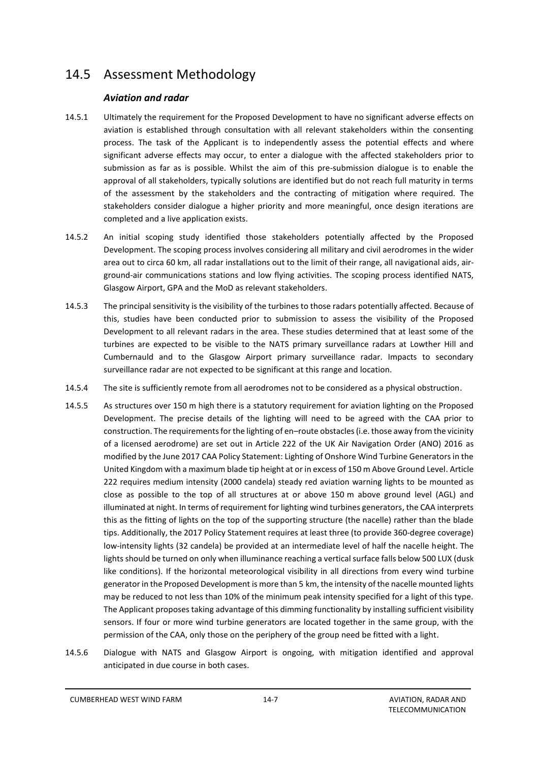# <span id="page-8-0"></span>14.5 Assessment Methodology

### *Aviation and radar*

- 14.5.1 Ultimately the requirement for the Proposed Development to have no significant adverse effects on aviation is established through consultation with all relevant stakeholders within the consenting process. The task of the Applicant is to independently assess the potential effects and where significant adverse effects may occur, to enter a dialogue with the affected stakeholders prior to submission as far as is possible. Whilst the aim of this pre-submission dialogue is to enable the approval of all stakeholders, typically solutions are identified but do not reach full maturity in terms of the assessment by the stakeholders and the contracting of mitigation where required. The stakeholders consider dialogue a higher priority and more meaningful, once design iterations are completed and a live application exists.
- 14.5.2 An initial scoping study identified those stakeholders potentially affected by the Proposed Development. The scoping process involves considering all military and civil aerodromes in the wider area out to circa 60 km, all radar installations out to the limit of their range, all navigational aids, airground-air communications stations and low flying activities. The scoping process identified NATS, Glasgow Airport, GPA and the MoD as relevant stakeholders.
- 14.5.3 The principal sensitivity is the visibility of the turbines to those radars potentially affected. Because of this, studies have been conducted prior to submission to assess the visibility of the Proposed Development to all relevant radars in the area. These studies determined that at least some of the turbines are expected to be visible to the NATS primary surveillance radars at Lowther Hill and Cumbernauld and to the Glasgow Airport primary surveillance radar. Impacts to secondary surveillance radar are not expected to be significant at this range and location.
- 14.5.4 The site is sufficiently remote from all aerodromes not to be considered as a physical obstruction.
- 14.5.5 As structures over 150 m high there is a statutory requirement for aviation lighting on the Proposed Development. The precise details of the lighting will need to be agreed with the CAA prior to construction. The requirements for the lighting of en–route obstacles (i.e. those away from the vicinity of a licensed aerodrome) are set out in Article 222 of the UK Air Navigation Order (ANO) 2016 as modified by the June 2017 CAA Policy Statement: Lighting of Onshore Wind Turbine Generators in the United Kingdom with a maximum blade tip height at or in excess of 150 m Above Ground Level. Article 222 requires medium intensity (2000 candela) steady red aviation warning lights to be mounted as close as possible to the top of all structures at or above 150 m above ground level (AGL) and illuminated at night. In terms of requirement for lighting wind turbines generators, the CAA interprets this as the fitting of lights on the top of the supporting structure (the nacelle) rather than the blade tips. Additionally, the 2017 Policy Statement requires at least three (to provide 360-degree coverage) low-intensity lights (32 candela) be provided at an intermediate level of half the nacelle height. The lights should be turned on only when illuminance reaching a vertical surface falls below 500 LUX (dusk like conditions). If the horizontal meteorological visibility in all directions from every wind turbine generator in the Proposed Development is more than 5 km, the intensity of the nacelle mounted lights may be reduced to not less than 10% of the minimum peak intensity specified for a light of this type. The Applicant proposes taking advantage of this dimming functionality by installing sufficient visibility sensors. If four or more wind turbine generators are located together in the same group, with the permission of the CAA, only those on the periphery of the group need be fitted with a light.
- 14.5.6 Dialogue with NATS and Glasgow Airport is ongoing, with mitigation identified and approval anticipated in due course in both cases.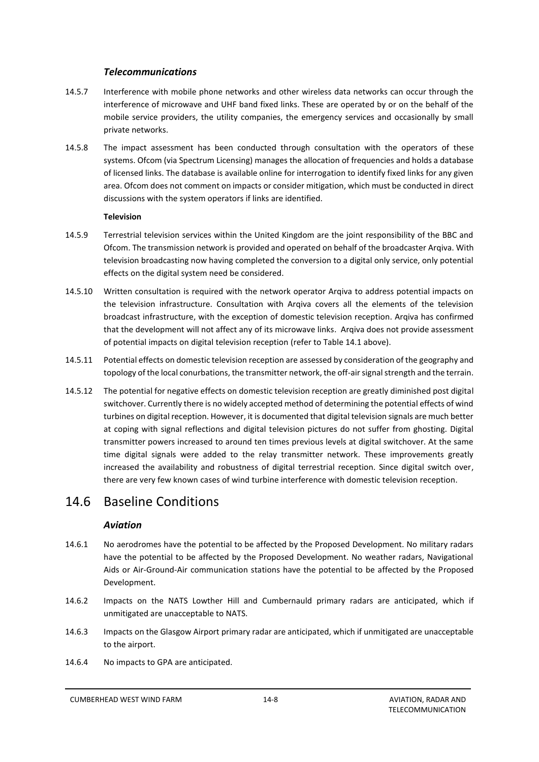### *Telecommunications*

- 14.5.7 Interference with mobile phone networks and other wireless data networks can occur through the interference of microwave and UHF band fixed links. These are operated by or on the behalf of the mobile service providers, the utility companies, the emergency services and occasionally by small private networks.
- 14.5.8 The impact assessment has been conducted through consultation with the operators of these systems. Ofcom (via Spectrum Licensing) manages the allocation of frequencies and holds a database of licensed links. The database is available online for interrogation to identify fixed links for any given area. Ofcom does not comment on impacts or consider mitigation, which must be conducted in direct discussions with the system operators if links are identified.

#### **Television**

- 14.5.9 Terrestrial television services within the United Kingdom are the joint responsibility of the BBC and Ofcom. The transmission network is provided and operated on behalf of the broadcaster Arqiva. With television broadcasting now having completed the conversion to a digital only service, only potential effects on the digital system need be considered.
- 14.5.10 Written consultation is required with the network operator Arqiva to address potential impacts on the television infrastructure. Consultation with Arqiva covers all the elements of the television broadcast infrastructure, with the exception of domestic television reception. Arqiva has confirmed that the development will not affect any of its microwave links. Arqiva does not provide assessment of potential impacts on digital television reception (refer to Table 14.1 above).
- 14.5.11 Potential effects on domestic television reception are assessed by consideration of the geography and topology of the local conurbations, the transmitter network, the off-air signal strength and the terrain.
- 14.5.12 The potential for negative effects on domestic television reception are greatly diminished post digital switchover. Currently there is no widely accepted method of determining the potential effects of wind turbines on digital reception. However, it is documented that digital television signals are much better at coping with signal reflections and digital television pictures do not suffer from ghosting. Digital transmitter powers increased to around ten times previous levels at digital switchover. At the same time digital signals were added to the relay transmitter network. These improvements greatly increased the availability and robustness of digital terrestrial reception. Since digital switch over, there are very few known cases of wind turbine interference with domestic television reception.

### <span id="page-9-0"></span>14.6 Baseline Conditions

### *Aviation*

- 14.6.1 No aerodromes have the potential to be affected by the Proposed Development. No military radars have the potential to be affected by the Proposed Development. No weather radars, Navigational Aids or Air-Ground-Air communication stations have the potential to be affected by the Proposed Development.
- 14.6.2 Impacts on the NATS Lowther Hill and Cumbernauld primary radars are anticipated, which if unmitigated are unacceptable to NATS.
- 14.6.3 Impacts on the Glasgow Airport primary radar are anticipated, which if unmitigated are unacceptable to the airport.
- 14.6.4 No impacts to GPA are anticipated.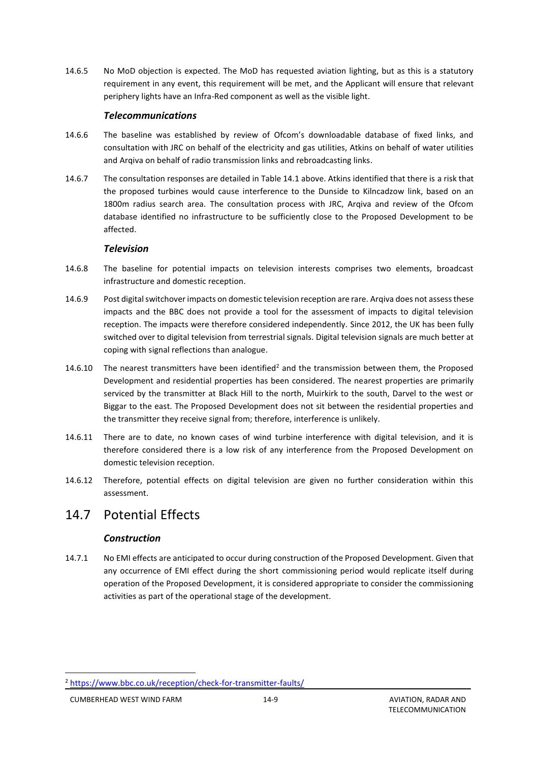14.6.5 No MoD objection is expected. The MoD has requested aviation lighting, but as this is a statutory requirement in any event, this requirement will be met, and the Applicant will ensure that relevant periphery lights have an Infra-Red component as well as the visible light.

### *Telecommunications*

- 14.6.6 The baseline was established by review of Ofcom's downloadable database of fixed links, and consultation with JRC on behalf of the electricity and gas utilities, Atkins on behalf of water utilities and Arqiva on behalf of radio transmission links and rebroadcasting links.
- 14.6.7 The consultation responses are detailed in Table 14.1 above. Atkins identified that there is a risk that the proposed turbines would cause interference to the Dunside to Kilncadzow link, based on an 1800m radius search area. The consultation process with JRC, Arqiva and review of the Ofcom database identified no infrastructure to be sufficiently close to the Proposed Development to be affected.

### *Television*

- 14.6.8 The baseline for potential impacts on television interests comprises two elements, broadcast infrastructure and domestic reception.
- 14.6.9 Post digital switchover impacts on domestic television reception are rare. Arqiva does not assess these impacts and the BBC does not provide a tool for the assessment of impacts to digital television reception. The impacts were therefore considered independently. Since 2012, the UK has been fully switched over to digital television from terrestrial signals. Digital television signals are much better at coping with signal reflections than analogue.
- 14.6.10 The nearest transmitters have been identified<sup>2</sup> and the transmission between them, the Proposed Development and residential properties has been considered. The nearest properties are primarily serviced by the transmitter at Black Hill to the north, Muirkirk to the south, Darvel to the west or Biggar to the east. The Proposed Development does not sit between the residential properties and the transmitter they receive signal from; therefore, interference is unlikely.
- 14.6.11 There are to date, no known cases of wind turbine interference with digital television, and it is therefore considered there is a low risk of any interference from the Proposed Development on domestic television reception.
- 14.6.12 Therefore, potential effects on digital television are given no further consideration within this assessment.

# <span id="page-10-0"></span>14.7 Potential Effects

### *Construction*

14.7.1 No EMI effects are anticipated to occur during construction of the Proposed Development. Given that any occurrence of EMI effect during the short commissioning period would replicate itself during operation of the Proposed Development, it is considered appropriate to consider the commissioning activities as part of the operational stage of the development.

<sup>2</sup> <https://www.bbc.co.uk/reception/check-for-transmitter-faults/>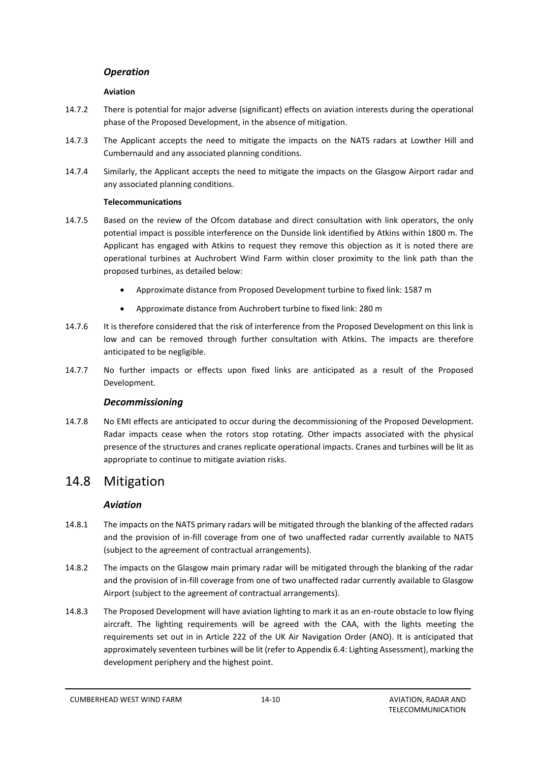### *Operation*

### **Aviation**

- 14.7.2 There is potential for major adverse (significant) effects on aviation interests during the operational phase of the Proposed Development, in the absence of mitigation.
- 14.7.3 The Applicant accepts the need to mitigate the impacts on the NATS radars at Lowther Hill and Cumbernauld and any associated planning conditions.
- 14.7.4 Similarly, the Applicant accepts the need to mitigate the impacts on the Glasgow Airport radar and any associated planning conditions.

### **Telecommunications**

- 14.7.5 Based on the review of the Ofcom database and direct consultation with link operators, the only potential impact is possible interference on the Dunside link identified by Atkins within 1800 m. The Applicant has engaged with Atkins to request they remove this objection as it is noted there are operational turbines at Auchrobert Wind Farm within closer proximity to the link path than the proposed turbines, as detailed below:
	- Approximate distance from Proposed Development turbine to fixed link: 1587 m
	- Approximate distance from Auchrobert turbine to fixed link: 280 m
- 14.7.6 It is therefore considered that the risk of interference from the Proposed Development on this link is low and can be removed through further consultation with Atkins. The impacts are therefore anticipated to be negligible.
- 14.7.7 No further impacts or effects upon fixed links are anticipated as a result of the Proposed Development.

### *Decommissioning*

14.7.8 No EMI effects are anticipated to occur during the decommissioning of the Proposed Development. Radar impacts cease when the rotors stop rotating. Other impacts associated with the physical presence of the structures and cranes replicate operational impacts. Cranes and turbines will be lit as appropriate to continue to mitigate aviation risks.

# <span id="page-11-0"></span>14.8 Mitigation

### *Aviation*

- 14.8.1 The impacts on the NATS primary radars will be mitigated through the blanking of the affected radars and the provision of in-fill coverage from one of two unaffected radar currently available to NATS (subject to the agreement of contractual arrangements).
- 14.8.2 The impacts on the Glasgow main primary radar will be mitigated through the blanking of the radar and the provision of in-fill coverage from one of two unaffected radar currently available to Glasgow Airport (subject to the agreement of contractual arrangements).
- 14.8.3 The Proposed Development will have aviation lighting to mark it as an en-route obstacle to low flying aircraft. The lighting requirements will be agreed with the CAA, with the lights meeting the requirements set out in in Article 222 of the UK Air Navigation Order (ANO). It is anticipated that approximately seventeen turbines will be lit (refer to Appendix 6.4: Lighting Assessment), marking the development periphery and the highest point.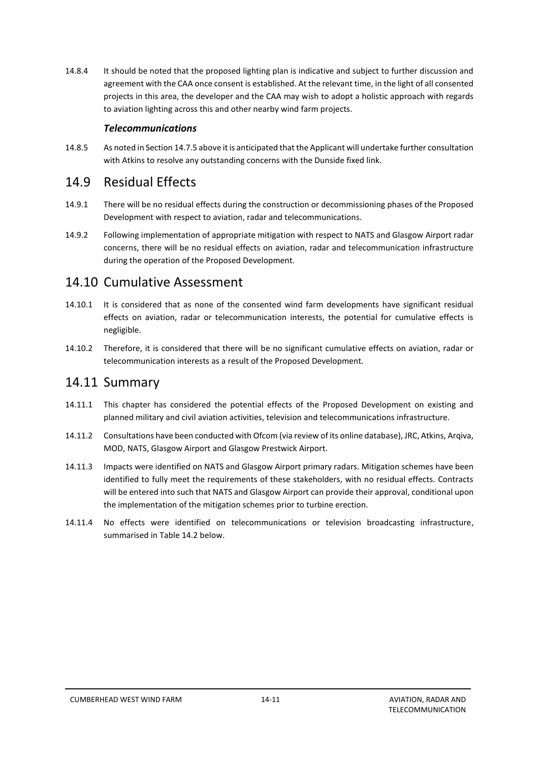14.8.4 It should be noted that the proposed lighting plan is indicative and subject to further discussion and agreement with the CAA once consent is established. At the relevant time, in the light of all consented projects in this area, the developer and the CAA may wish to adopt a holistic approach with regards to aviation lighting across this and other nearby wind farm projects.

### *Telecommunications*

14.8.5 As noted in Section 14.7.5 above it is anticipated that the Applicant will undertake further consultation with Atkins to resolve any outstanding concerns with the Dunside fixed link.

## <span id="page-12-0"></span>14.9 Residual Effects

- 14.9.1 There will be no residual effects during the construction or decommissioning phases of the Proposed Development with respect to aviation, radar and telecommunications.
- 14.9.2 Following implementation of appropriate mitigation with respect to NATS and Glasgow Airport radar concerns, there will be no residual effects on aviation, radar and telecommunication infrastructure during the operation of the Proposed Development.

### <span id="page-12-1"></span>14.10 Cumulative Assessment

- 14.10.1 It is considered that as none of the consented wind farm developments have significant residual effects on aviation, radar or telecommunication interests, the potential for cumulative effects is negligible.
- 14.10.2 Therefore, it is considered that there will be no significant cumulative effects on aviation, radar or telecommunication interests as a result of the Proposed Development.

### <span id="page-12-2"></span>14.11 Summary

- 14.11.1 This chapter has considered the potential effects of the Proposed Development on existing and planned military and civil aviation activities, television and telecommunications infrastructure.
- 14.11.2 Consultations have been conducted with Ofcom (via review of its online database), JRC, Atkins, Arqiva, MOD, NATS, Glasgow Airport and Glasgow Prestwick Airport.
- 14.11.3 Impacts were identified on NATS and Glasgow Airport primary radars. Mitigation schemes have been identified to fully meet the requirements of these stakeholders, with no residual effects. Contracts will be entered into such that NATS and Glasgow Airport can provide their approval, conditional upon the implementation of the mitigation schemes prior to turbine erection.
- 14.11.4 No effects were identified on telecommunications or television broadcasting infrastructure, summarised in Table 14.2 below.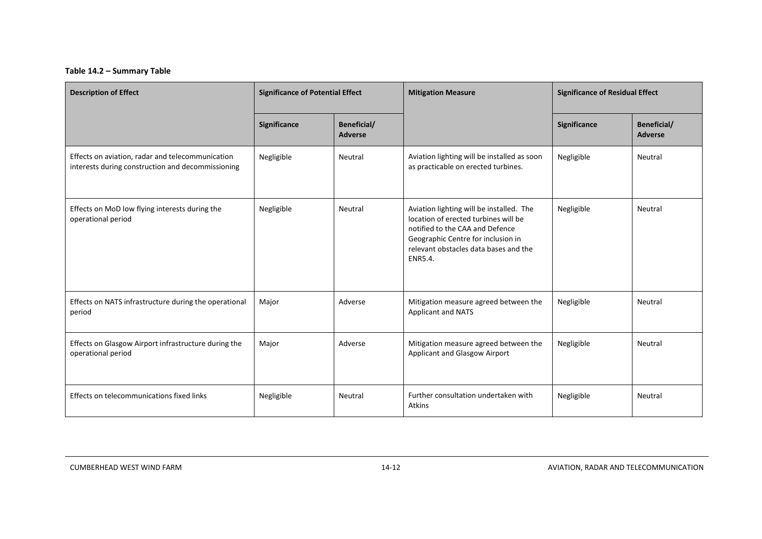### **Table 14.2 – Summary Table**

| <b>Description of Effect</b>                                                                          | <b>Significance of Potential Effect</b> |                               | <b>Mitigation Measure</b>                                                                                                                                                                                            | <b>Significance of Residual Effect</b> |                               |
|-------------------------------------------------------------------------------------------------------|-----------------------------------------|-------------------------------|----------------------------------------------------------------------------------------------------------------------------------------------------------------------------------------------------------------------|----------------------------------------|-------------------------------|
|                                                                                                       | Significance                            | Beneficial/<br><b>Adverse</b> |                                                                                                                                                                                                                      | Significance                           | Beneficial/<br><b>Adverse</b> |
| Effects on aviation, radar and telecommunication<br>interests during construction and decommissioning | Negligible                              | Neutral                       | Aviation lighting will be installed as soon<br>as practicable on erected turbines.                                                                                                                                   | Negligible                             | Neutral                       |
| Effects on MoD low flying interests during the<br>operational period                                  | Negligible                              | Neutral                       | Aviation lighting will be installed. The<br>location of erected turbines will be<br>notified to the CAA and Defence<br>Geographic Centre for inclusion in<br>relevant obstacles data bases and the<br><b>ENR5.4.</b> | Negligible                             | Neutral                       |
| Effects on NATS infrastructure during the operational<br>period                                       | Major                                   | Adverse                       | Mitigation measure agreed between the<br><b>Applicant and NATS</b>                                                                                                                                                   | Negligible                             | Neutral                       |
| Effects on Glasgow Airport infrastructure during the<br>operational period                            | Major                                   | Adverse                       | Mitigation measure agreed between the<br>Applicant and Glasgow Airport                                                                                                                                               | Negligible                             | Neutral                       |
| Effects on telecommunications fixed links                                                             | Negligible                              | Neutral                       | Further consultation undertaken with<br>Atkins                                                                                                                                                                       | Negligible                             | Neutral                       |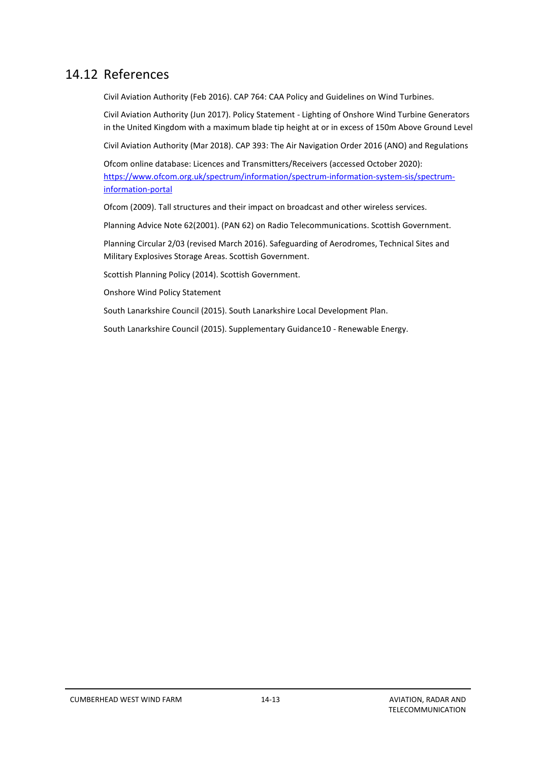### <span id="page-14-0"></span>14.12 References

Civil Aviation Authority (Feb 2016). CAP 764: CAA Policy and Guidelines on Wind Turbines.

Civil Aviation Authority (Jun 2017). Policy Statement - Lighting of Onshore Wind Turbine Generators in the United Kingdom with a maximum blade tip height at or in excess of 150m Above Ground Level

Civil Aviation Authority (Mar 2018). CAP 393: The Air Navigation Order 2016 (ANO) and Regulations

Ofcom online database: Licences and Transmitters/Receivers (accessed October 2020): [https://www.ofcom.org.uk/spectrum/information/spectrum-information-system-sis/spectrum](https://www.ofcom.org.uk/spectrum/information/spectrum-information-system-sis/spectrum-information-portal)[information-portal](https://www.ofcom.org.uk/spectrum/information/spectrum-information-system-sis/spectrum-information-portal)

Ofcom (2009). Tall structures and their impact on broadcast and other wireless services.

Planning Advice Note 62(2001). (PAN 62) on Radio Telecommunications. Scottish Government.

Planning Circular 2/03 (revised March 2016). Safeguarding of Aerodromes, Technical Sites and Military Explosives Storage Areas. Scottish Government.

Scottish Planning Policy (2014). Scottish Government.

Onshore Wind Policy Statement

South Lanarkshire Council (2015). South Lanarkshire Local Development Plan.

South Lanarkshire Council (2015). Supplementary Guidance10 - Renewable Energy.